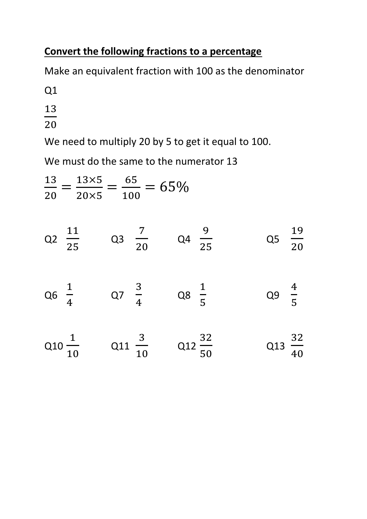## **Convert the following fractions to a percentage**

Make an equivalent fraction with 100 as the denominator

Q1

- 13
- 20

We need to multiply 20 by 5 to get it equal to 100.

We must do the same to the numerator 13

$$
\frac{13}{20} = \frac{13 \times 5}{20 \times 5} = \frac{65}{100} = 65\%
$$
  
\nQ2  $\frac{11}{25}$  Q3  $\frac{7}{20}$  Q4  $\frac{9}{25}$  Q5  $\frac{19}{20}$   
\nQ6  $\frac{1}{4}$  Q7  $\frac{3}{4}$  Q8  $\frac{1}{5}$  Q9  $\frac{4}{5}$   
\nQ10  $\frac{1}{10}$  Q11  $\frac{3}{10}$  Q12  $\frac{32}{50}$  Q13  $\frac{32}{40}$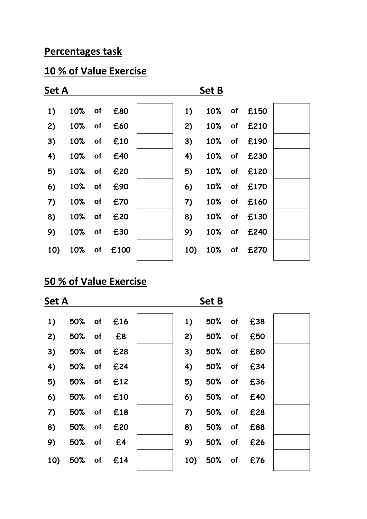#### **Percentages task**

#### **10 % of Value Exercise**



#### **50 % of Value Exercise**

| Set A |            |            |  |    |            |           |            |  |
|-------|------------|------------|--|----|------------|-----------|------------|--|
| 1)    |            | 50% of £16 |  | 1) |            |           | 50% of £38 |  |
| 2)    | 50% of     | £8         |  | 2) | 50% of     |           | £50        |  |
| 3)    | 50% of     | £28        |  | 3) | 50% of     |           | £80        |  |
| 4)    |            | 50% of £24 |  | 4) | 50%        | <b>of</b> | £34        |  |
| 5)    |            | 50% of £12 |  | 5) | 50% of     |           | £36        |  |
| 6)    |            | 50% of £10 |  | 6) | 50% of     |           | £40        |  |
| 7)    | 50% of     | £18        |  | 7) | 50% of     |           | £28        |  |
| 8)    |            | 50% of £20 |  | 8) | 50%        | of        | £88        |  |
| 9)    | 50% of     | £4         |  | 9) |            |           | 50% of £26 |  |
| 10)   | 50% of £14 |            |  |    | 10) 50% of |           | £76        |  |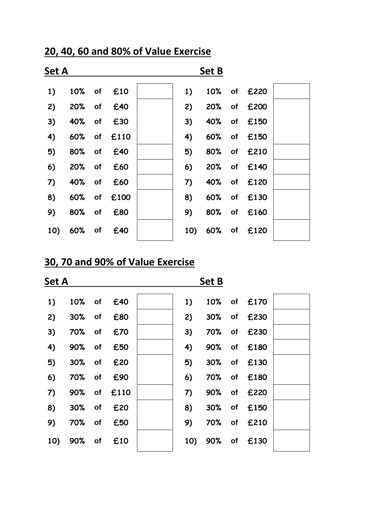| Set A |                |  |             |  |    |  |                 |  |
|-------|----------------|--|-------------|--|----|--|-----------------|--|
| 1)    |                |  | 10% of £10  |  | 1) |  | 10% of £220     |  |
| 2)    |                |  | 20% of £40  |  | 2) |  | 20% of £200     |  |
| 3)    | 40%            |  | of £30      |  | 3) |  | 40% of £150     |  |
| 4)    |                |  | 60% of £110 |  | 4) |  | 60% of £150     |  |
| 5)    |                |  | 80% of £40  |  | 5) |  | 80% of £210     |  |
| 6)    |                |  | 20% of £60  |  | 6) |  | 20% of £140     |  |
| 7)    | 40%            |  | of £60      |  | 7) |  | 40% of £120     |  |
| 8)    |                |  | 60% of £100 |  | 8) |  | 60% of £130     |  |
| 9)    | 80%            |  | of £80      |  | 9) |  | 80% of £160     |  |
|       | 10) 60% of £40 |  |             |  |    |  | 10) 60% of £120 |  |

#### **20, 40, 60 and 80% of Value Exercise**

# **30, 70 and 90% of Value Exercise**

| <b>Set A</b> |     |           |      |  |     |     |                |  |
|--------------|-----|-----------|------|--|-----|-----|----------------|--|
| 1)           | 10% | of        | £40  |  | 1)  | 10% | of £170        |  |
| 2)           | 30% | of        | £80  |  | 2)  | 30% | of <b>£230</b> |  |
| 3)           | 70% | of        | £70  |  | 3)  | 70% | of <b>£230</b> |  |
| 4)           | 90% | of        | £50  |  | 4)  | 90% | of £180        |  |
| 5)           | 30% | <b>of</b> | £20  |  | 5)  | 30% | of £130        |  |
| 6)           | 70% | <b>of</b> | £90  |  | 6)  |     | 70% of £180    |  |
| 7)           | 90% | of        | £110 |  | 7)  | 90% | of <b>£220</b> |  |
| 8)           | 30% | of        | £20  |  | 8)  | 30% | of £150        |  |
| 9)           | 70% | of        | £50  |  | 9)  | 70% | of £210        |  |
| 10)          | 90% | <b>of</b> | £10  |  | 10) | 90% | of <b>£130</b> |  |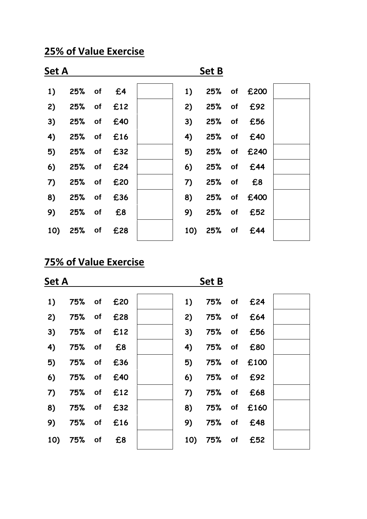### **25% of Value Exercise**

| <b>Set A</b> |                |              |     |  |    |            |             |  |
|--------------|----------------|--------------|-----|--|----|------------|-------------|--|
| 1)           | 25% of £4      |              |     |  | 1) |            | 25% of £200 |  |
| 2)           | 25% of £12     |              |     |  | 2) |            | 25% of £92  |  |
| 3)           | 25% of         |              | £40 |  | 3) | 25% of     | £56         |  |
| 4)           | 25% of £16     |              |     |  | 4) | 25% of     | £40         |  |
| 5)           | 25% of £32     |              |     |  | 5) |            | 25% of £240 |  |
| 6)           | 25% of £24     |              |     |  | 6) | 25% of £44 |             |  |
| 7)           | 25% of £20     |              |     |  | 7) | 25% of     | £8          |  |
| 8)           | 25% of £36     |              |     |  | 8) |            | 25% of £400 |  |
| 9)           | 25%            | $\bullet$ of | £8  |  | 9) |            | 25% of £52  |  |
|              | 10) 25% of £28 |              |     |  |    | 10) 25% of | £44         |  |

# **75% of Value Exercise**

| <b>Set A</b> |               |                |     | <b>Set B</b> |     |        |           |      |  |  |
|--------------|---------------|----------------|-----|--------------|-----|--------|-----------|------|--|--|
| 1)           | <b>75%</b> of |                | £20 |              | 1)  | 75% of |           | £24  |  |  |
| 2)           | 75%           | o <sub>f</sub> | £28 |              | 2)  | 75%    | of        | £64  |  |  |
| 3)           | 75% of        |                | £12 |              | 3)  | 75%    | of        | £56  |  |  |
| 4)           | 75% of        |                | £8  |              | 4)  | 75%    | of        | £80  |  |  |
| 5)           | 75% of        |                | £36 |              | 5)  | 75%    | <b>of</b> | £100 |  |  |
| 6)           | 75%           | $\bullet$ of   | £40 |              | 6)  | 75%    | of        | £92  |  |  |
| 7)           | 75%           | of             | £12 |              | 7)  | 75%    | of        | £68  |  |  |
| 8)           | 75%           | $\bullet$ of   | £32 |              | 8)  | 75%    | of        | £160 |  |  |
| 9)           | 75%           | <b>of</b>      | £16 |              | 9)  | 75%    | of        | £48  |  |  |
| 10)          | 75%           | o <sub>f</sub> | £8  |              | 10) | 75%    | of        | £52  |  |  |